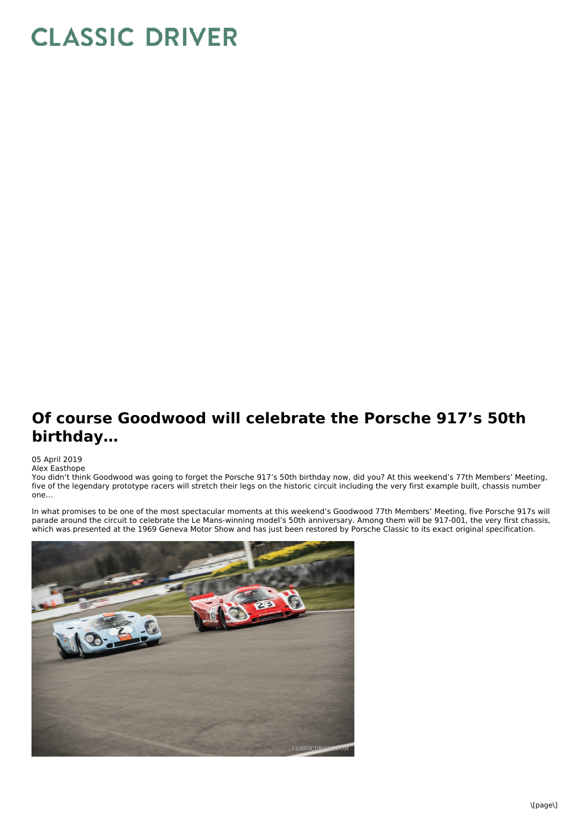## **CLASSIC DRIVER**

## **Of course Goodwood will celebrate the Porsche 917's 50th birthday…**

05 April 2019

Alex Easthope

You didn't think Goodwood was going to forget the Porsche 917's 50th birthday now, did you? At this weekend's 77th Members' Meeting, five of the legendary prototype racers will stretch their legs on the historic circuit including the very first example built, chassis number one…

In what promises to be one of the most spectacular moments at this weekend's Goodwood 77th Members' Meeting, five Porsche 917s will parade around the circuit to celebrate the Le Mans-winning model's 50th anniversary. Among them will be 917-001, the very first chassis, which was presented at the 1969 Geneva Motor Show and has just been restored by Porsche Classic to its exact original specification.